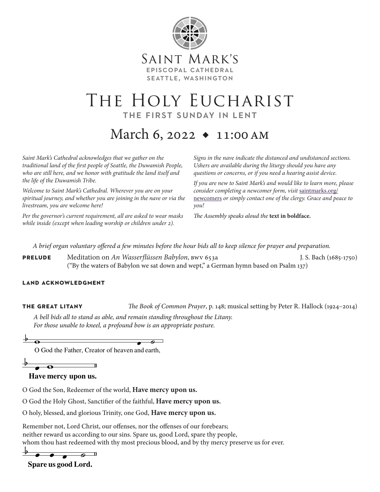

# THE HOLY EUCHARIST the first sunday in lent

# March 6, 2022 ◆ 11:00am

*Saint Mark's Cathedral acknowledges that we gather on the traditional land of the first people of Seattle, the Duwamish People, who are still here, and we honor with gratitude the land itself and the life of the Duwamish Tribe.* 

*Welcome to Saint Mark's Cathedral. Wherever you are on your spiritual journey, and whether you are joining in the nave or via the livestream, you are welcome here!*

*Per the governor's current requirement, all are asked to wear masks while inside (except when leading worship or children under 2).*

*Signs in the nave indicate the distanced and undistanced sections. Ushers are available during the liturgy should you have any questions or concerns, or if you need a hearing assist device.*

*If you are new to Saint Mark's and would like to learn more, please consider completing a newcomer form, visit* saintmarks.org/ newcomers *or simply contact one of the clergy. Grace and peace to you!*

*The Assembly speaks aloud the* **text in boldface.**

*A brief organ voluntary offered a few minutes before the hour bids all to keep silence for prayer and preparation.*

**PRELUDE** Meditation on *An Wasserflüssen Babylon*, bwv 653a J. S. Bach (1685-1750) ("By the waters of Babylon we sat down and wept," a German hymn based on Psalm 137)

#### **land acknowledgment**

**the great litany** *The Book of Common Prayer*, p. 148; musical setting by Peter R. Hallock (1924–2014)

*A bell bids all to stand as able, and remain standing throughout the Litany. For those unable to kneel, a profound bow is an appropriate posture.*

 $\overline{\bullet}$  $\overline{e}$  $\frac{1}{2}$ 

O God the Father, Creator of heaven and earth,

 $\overline{\bullet\hspace{0.75pt}}^{\bullet}$ b

#### Have mercy upon us.

O God the Son, Redeemer of the world, **Have mercy upon us.**

O God the Holy Ghost, Sanctifier of the faithful, **Have mercy upon us.**

O holy, blessed, and glorious Trinity, one God, **Have mercy upon us.**

Remember not, Lord Christ, our offenses, nor the offenses of our forebears; neither reward us according to our sins. Spare us, good Lord, spare thy people, whom thou hast redeemed with thy most precious blood, and by thy mercy preserve us for ever. v<br>þ

 $\bullet$   $\bullet$   $\bullet$   $\circ$ 

Spare us good Lord.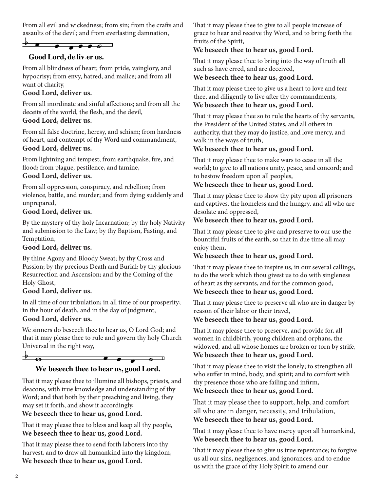From all evil and wickedness; from sin; from the crafts and assaults of the devil; and from everlasting damnation,

# $\theta$

#### Good Lord, de liv-er us.

From all blindness of heart; from pride, vainglory, and hypocrisy; from envy, hatred, and malice; and from all want of charity,

#### **Good Lord, deliver us.**

From all inordinate and sinful affections; and from all the deceits of the world, the flesh, and the devil,

#### **Good Lord, deliver us.**

From all false doctrine, heresy, and schism; from hardness of heart, and contempt of thy Word and commandment, **Good Lord, deliver us.**

From lightning and tempest; from earthquake, fire, and flood; from plague, pestilence, and famine,

#### **Good Lord, deliver us.**

From all oppression, conspiracy, and rebellion; from violence, battle, and murder; and from dying suddenly and unprepared,

#### **Good Lord, deliver us.**

By the mystery of thy holy Incarnation; by thy holy Nativity and submission to the Law; by thy Baptism, Fasting, and Temptation,

#### **Good Lord, deliver us.**

By thine Agony and Bloody Sweat; by thy Cross and Passion; by thy precious Death and Burial; by thy glorious Resurrection and Ascension; and by the Coming of the Holy Ghost,

#### **Good Lord, deliver us.**

In all time of our tribulation; in all time of our prosperity; in the hour of death, and in the day of judgment, **Good Lord, deliver us.**

We sinners do beseech thee to hear us, O Lord God; and that it may please thee to rule and govern thy holy Church Universal in the right way,



#### We beseech thee to hear us, good Lord.

That it may please thee to illumine all bishops, priests, and deacons, with true knowledge and understanding of thy Word; and that both by their preaching and living, they may set it forth, and show it accordingly,

#### **We beseech thee to hear us, good Lord.**

That it may please thee to bless and keep all thy people, **We beseech thee to hear us, good Lord.**

That it may please thee to send forth laborers into thy harvest, and to draw all humankind into thy kingdom, **We beseech thee to hear us, good Lord.**

That it may please thee to give to all people increase of grace to hear and receive thy Word, and to bring forth the fruits of the Spirit,

### **We beseech thee to hear us, good Lord.**

That it may please thee to bring into the way of truth all such as have erred, and are deceived,

#### **We beseech thee to hear us, good Lord.**

That it may please thee to give us a heart to love and fear thee, and diligently to live after thy commandments,

#### **We beseech thee to hear us, good Lord.**

That it may please thee so to rule the hearts of thy servants, the President of the United States, and all others in authority, that they may do justice, and love mercy, and walk in the ways of truth,

#### **We beseech thee to hear us, good Lord.**

That it may please thee to make wars to cease in all the world; to give to all nations unity, peace, and concord; and to bestow freedom upon all peoples,

#### **We beseech thee to hear us, good Lord.**

That it may please thee to show thy pity upon all prisoners and captives, the homeless and the hungry, and all who are desolate and oppressed,

#### **We beseech thee to hear us, good Lord.**

That it may please thee to give and preserve to our use the bountiful fruits of the earth, so that in due time all may enjoy them,

#### **We beseech thee to hear us, good Lord.**

That it may please thee to inspire us, in our several callings, to do the work which thou givest us to do with singleness of heart as thy servants, and for the common good,

### **We beseech thee to hear us, good Lord.**

That it may please thee to preserve all who are in danger by reason of their labor or their travel,

#### **We beseech thee to hear us, good Lord.**

That it may please thee to preserve, and provide for, all women in childbirth, young children and orphans, the widowed, and all whose homes are broken or torn by strife, **We beseech thee to hear us, good Lord.**

That it may please thee to visit the lonely; to strengthen all who suffer in mind, body, and spirit; and to comfort with thy presence those who are failing and infirm,

#### **We beseech thee to hear us, good Lord.**

That it may please thee to support, help, and comfort all who are in danger, necessity, and tribulation,

#### **We beseech thee to hear us, good Lord.**

That it may please thee to have mercy upon all humankind, **We beseech thee to hear us, good Lord.**

That it may please thee to give us true repentance; to forgive us all our sins, negligences, and ignorances; and to endue us with the grace of thy Holy Spirit to amend our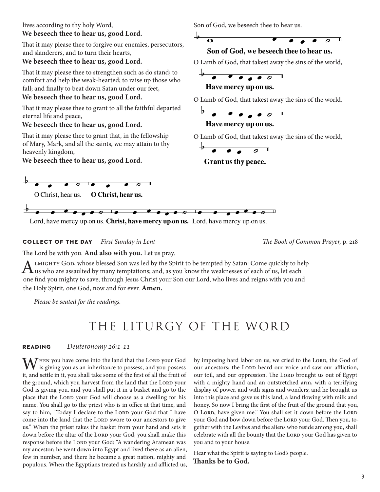lives according to thy holy Word, **We beseech thee to hear us, good Lord.**

That it may please thee to forgive our enemies, persecutors, and slanderers, and to turn their hearts,

#### **We beseech thee to hear us, good Lord.**

That it may please thee to strengthen such as do stand; to comfort and help the weak-hearted; to raise up those who fall; and finally to beat down Satan under our feet,

#### **We beseech thee to hear us, good Lord.**

That it may please thee to grant to all the faithful departed eternal life and peace,

#### **We beseech thee to hear us, good Lord.**

That it may please thee to grant that, in the fellowship of Mary, Mark, and all the saints, we may attain to thy heavenly kingdom,

**We beseech thee to hear us, good Lord.**



O Christ, hear us. O Christ, hear us.

Son of God, we beseech thee to hear us.



#### Son of God, we beseech thee to hear us.

O Lamb of God, that takest away the sins of the world,



#### Have mercy up-on us.

O Lamb of God, that takest away the sins of the world,



#### Have mercy up-on us.

O Lamb of God, that takest away the sins of the world,



Grant us thy peace.



Lord, have mercy up-on us. Christ, have mercy up-on us. Lord, have mercy up-on us.

#### **collect of the day** *First Sunday in Lent The Book of Common Prayer,* p. 218

The Lord be with you. **And also with you.** Let us pray.

ALMIGHTY GOD, whose blessed Son was led by the Spirit to be tempted by Satan: Come quickly to help us who are assaulted by many temptations; and, as you know the weaknesses of each of us, let each one find you mighty to save; through Jesus Christ your Son our Lord, who lives and reigns with you and the Holy Spirit, one God, now and for ever. **Amen.**

*Please be seated for the readings.*

## THE LITURGY OF THE WORD

#### **reading** *Deuteronomy 26:1-11*

WHEN you have come into the land that the LORD your God is giving you as an inheritance to possess, and you possess it, and settle in it, you shall take some of the first of all the fruit of the ground, which you harvest from the land that the LORD your God is giving you, and you shall put it in a basket and go to the place that the LORD your God will choose as a dwelling for his name. You shall go to the priest who is in office at that time, and say to him, "Today I declare to the LORD your God that I have come into the land that the LORD swore to our ancestors to give us." When the priest takes the basket from your hand and sets it down before the altar of the LORD your God, you shall make this response before the LORD your God: "A wandering Aramean was my ancestor; he went down into Egypt and lived there as an alien, few in number, and there he became a great nation, mighty and populous. When the Egyptians treated us harshly and afflicted us,

by imposing hard labor on us, we cried to the LORD, the God of our ancestors; the LORD heard our voice and saw our affliction, our toil, and our oppression. The LORD brought us out of Egypt with a mighty hand and an outstretched arm, with a terrifying display of power, and with signs and wonders; and he brought us into this place and gave us this land, a land flowing with milk and honey. So now I bring the first of the fruit of the ground that you, O LORD, have given me." You shall set it down before the LORD your God and bow down before the LORD your God. Then you, together with the Levites and the aliens who reside among you, shall celebrate with all the bounty that the LORD your God has given to you and to your house.

Hear what the Spirit is saying to God's people. **Thanks be to God.**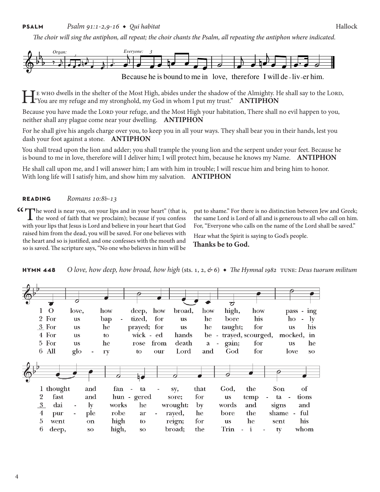#### **PSALM** *Psalm 91:1-2,9-16 ◆ Qui habitat* **Hallock** Hallock

*The choir will sing the antiphon, all repeat; the choir chants the Psalm, all repeating the antiphon where indicated.*



Because he is bound to me in love, therefore I will de-liv-er him.

Fe who dwells in the shelter of the Most High, abides under the shadow of the Almighty. He shall say to the Lord, "You are my refuge and my stronghold, my God in whom I put my trust." **ANTIPHON**

Because you have made the LORD your refuge, and the Most High your habitation, There shall no evil happen to you, neither shall any plague come near your dwelling. **ANTIPHON**

For he shall give his angels charge over you, to keep you in all your ways. They shall bear you in their hands, lest you dash your foot against a stone. **ANTIPHON**

You shall tread upon the lion and adder; you shall trample the young lion and the serpent under your feet. Because he is bound to me in love, therefore will I deliver him; I will protect him, because he knows my Name. **ANTIPHON**

He shall call upon me, and I will answer him; I am with him in trouble; I will rescue him and bring him to honor. With long life will I satisfy him, and show him my salvation. **ANTIPHON**

#### **reading** *Romans 10:8b-13*

 $\mathcal{C}$  The word is near you, on your lips and in your heart" (that is, the word of faith that we proclaim); because if you confess with your lips that Jesus is Lord and believe in your heart that God raised him from the dead, you will be saved. For one believes with the heart and so is justified, and one confesses with the mouth and so is saved. The scripture says, "No one who believes in him will be

put to shame." For there is no distinction between Jew and Greek; the same Lord is Lord of all and is generous to all who call on him. For, "Everyone who calls on the name of the Lord shall be saved."

Hear what the Spirit is saying to God's people. **Thanks be to God.**

**hymn 448** *O love, how deep, how broad, how high* (sts. 1, 2, *&* 6)◆ *The Hymnal 1982* tune: *Deus tuorum militum*

| $\mathbf \varpi$ |                         |              |                              |                |     |                          |                     |      |           |      |                      | ⇄                      |      |    |                                |               |       |
|------------------|-------------------------|--------------|------------------------------|----------------|-----|--------------------------|---------------------|------|-----------|------|----------------------|------------------------|------|----|--------------------------------|---------------|-------|
|                  | 1                       | $\mathbf{O}$ | love,                        |                | how |                          | deep,               | how  | broad,    |      | how                  | high,                  | how  |    |                                | pass - ing    |       |
|                  |                         | 2 For        | <b>us</b>                    |                | bap | $\overline{\phantom{a}}$ | tized,              | for  | <b>us</b> |      | he                   | bore                   | his  |    | ho                             |               | $-1y$ |
|                  |                         | 3 For        | <b>us</b>                    |                | he  |                          | prayed; for         |      | <b>us</b> |      | he                   | taught;                | for  |    | <b>us</b>                      |               | his   |
|                  |                         | 4 For        | <b>us</b>                    |                | to. |                          | wick - ed           |      | hands     |      |                      | be - trayed, scourged, |      |    | mocked, in                     |               |       |
|                  |                         | 5 For        | <b>us</b>                    |                | he  |                          | rose                | from | death     |      | a.<br>$\blacksquare$ | gain;                  | for  |    | <b>us</b>                      |               | he    |
|                  |                         | 6 All        | glo                          | ٠              | ry  |                          | to                  | our  | Lord      |      | and                  | God                    | for  |    | love                           |               | SO.   |
|                  |                         |              |                              |                |     |                          |                     |      |           |      |                      |                        |      |    |                                |               |       |
|                  |                         |              |                              |                |     |                          |                     |      |           |      |                      |                        |      |    |                                |               |       |
|                  |                         |              |                              |                |     |                          |                     |      | 7         |      |                      |                        |      |    | ο                              |               |       |
|                  |                         |              |                              |                |     |                          |                     |      |           |      |                      |                        |      |    |                                |               |       |
|                  |                         | 1 thought    |                              | and            |     | fan                      | ta<br>$\frac{1}{2}$ |      | sy,       | that |                      | God,                   | the  |    | Son                            | of            |       |
|                  | $\overline{2}$          | fast         |                              | and            |     |                          | hun - gered         |      | sore;     | for  |                      | <b>us</b>              | temp | ÷, | ta<br>$\overline{\phantom{a}}$ | tions         |       |
|                  | $\frac{3}{5}$           | dai          | $\qquad \qquad \blacksquare$ | $\mathbf{I}$ y |     | works                    | he                  |      | wrought:  | by   |                      | words                  | and  |    | signs                          | and           |       |
|                  | $\overline{\mathbf{4}}$ | pur          |                              | ple            |     | robe                     | ar                  | ÷,   | rayed,    | he   |                      | bore                   | the  |    | shame                          | ful<br>$\sim$ |       |
|                  | 5                       | went         |                              | <b>on</b>      |     | high                     | to                  |      | reign;    | for  |                      | <b>us</b>              | he   |    | sent                           | his           |       |
|                  | 6                       | deep,        |                              | SO             |     | high,                    | SO.                 |      | broad;    | the  |                      | Trin                   | i    |    | ty                             | whom          |       |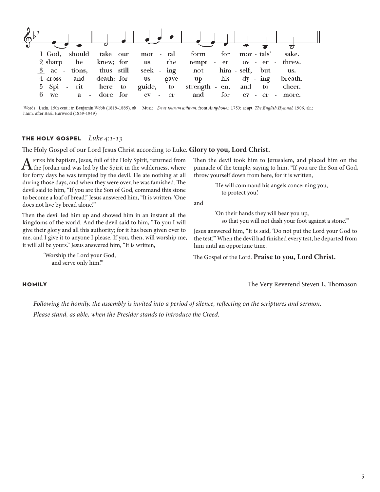

Words: Latin, 15th cent.; tr. Benjamin Webb (1819-1885), alt. Music: Deus tourum militum, from Antiphoner, 1753; adapt. The English Hymnal, 1906, alt.; harm. after Basil Harwood (1859-1949)

#### **the holy gospel** *Luke 4:1-13*

The Holy Gospel of our Lord Jesus Christ according to Luke. **Glory to you, Lord Christ.**

After his baptism, Jesus, full of the Holy Spirit, returned from the Jordan and was led by the Spirit in the wilderness, where for forty days he was tempted by the devil. He ate nothing at all during those days, and when they were over, he was famished. The devil said to him, "If you are the Son of God, command this stone to become a loaf of bread." Jesus answered him, "It is written, 'One does not live by bread alone."

Then the devil led him up and showed him in an instant all the kingdoms of the world. And the devil said to him, "To you I will give their glory and all this authority; for it has been given over to me, and I give it to anyone I please. If you, then, will worship me, it will all be yours." Jesus answered him, "It is written,

> 'Worship the Lord your God, and serve only him.'"

Then the devil took him to Jerusalem, and placed him on the pinnacle of the temple, saying to him, "If you are the Son of God, throw yourself down from here, for it is written,

> 'He will command his angels concerning you, to protect you,'

and

'On their hands they will bear you up, so that you will not dash your foot against a stone.'"

Jesus answered him, "It is said, 'Do not put the Lord your God to the test.'" When the devil had finished every test, he departed from him until an opportune time.

The Gospel of the Lord. **Praise to you, Lord Christ.**

**homily** The Very Reverend Steven L. Thomason

*Following the homily, the assembly is invited into a period of silence, reflecting on the scriptures and sermon. Please stand, as able, when the Presider stands to introduce the Creed.*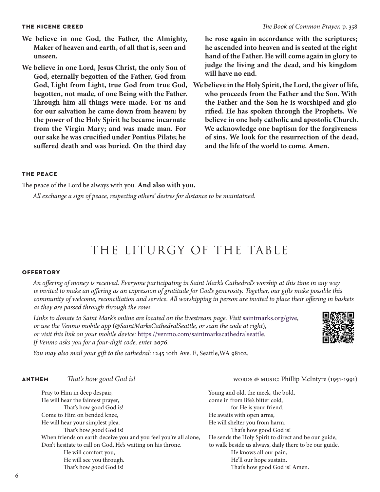- **We believe in one God, the Father, the Almighty, Maker of heaven and earth, of all that is, seen and unseen.**
- **We believe in one Lord, Jesus Christ, the only Son of God, eternally begotten of the Father, God from God, Light from Light, true God from true God, begotten, not made, of one Being with the Father. Through him all things were made. For us and for our salvation he came down from heaven: by the power of the Holy Spirit he became incarnate from the Virgin Mary; and was made man. For our sake he was crucified under Pontius Pilate; he suffered death and was buried. On the third day**

**he rose again in accordance with the scriptures; he ascended into heaven and is seated at the right hand of the Father. He will come again in glory to judge the living and the dead, and his kingdom will have no end.**

**We believe in the Holy Spirit, the Lord, the giver of life, who proceeds from the Father and the Son. With the Father and the Son he is worshiped and glorified. He has spoken through the Prophets. We believe in one holy catholic and apostolic Church. We acknowledge one baptism for the forgiveness of sins. We look for the resurrection of the dead, and the life of the world to come. Amen.**

#### **the peace**

The peace of the Lord be always with you. **And also with you.**

*All exchange a sign of peace, respecting others' desires for distance to be maintained.* 

## THE LITURGY OF THE TABLE

#### **offertory**

*An offering of money is received. Everyone participating in Saint Mark's Cathedral's worship at this time in any way is invited to make an offering as an expression of gratitude for God's generosity. Together, our gifts make possible this community of welcome, reconciliation and service. All worshipping in person are invited to place their offering in baskets as they are passed through through the rows.* 

Links to donate to Saint Mark's online are located on the livestream page. Visit [saintmarks.org/give,](http://saintmarks.org/give) *or use the Venmo mobile app* (*@SaintMarksCathedralSeattle, or scan the code at right*)*, or visit this link on your mobile device:* <https://venmo.com/saintmarkscathedralseattle>*. If Venmo asks you for a four-digit code, enter 2076.*



*You may also mail your gift to the cathedral:* 1245 10th Ave. E, Seattle,WA 98102.

Pray to Him in deep despair,

That's how good God is!

He will hear the faintest prayer, That's how good God is! Come to Him on bended knee, He will hear your simplest plea. That's how good God is! When friends on earth deceive you and you feel you're all alone, Don't hesitate to call on God, He's waiting on his throne. He will comfort you, He will see you through.

**ANTHEM** *That's how good God is!*  $\blacksquare$  words  $\phi$  music: Phillip McIntyre (1951-1991)

Young and old, the meek, the bold, come in from life's bitter cold, for He is your friend. He awaits with open arms, He will shelter you from harm. That's how good God is! He sends the Holy Spirit to direct and be our guide, to walk beside us always, daily there to be our guide. He knows all our pain, He'll our hope sustain. That's how good God is! Amen.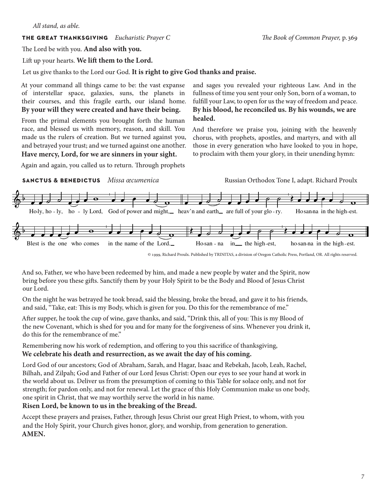### **the great thanksgiving** *Eucharistic Prayer C The Book of Common Prayer,* p. 369

The Lord be with you. **And also with you.** 

Lift up your hearts. **We lift them to the Lord.** 

Let us give thanks to the Lord our God. **It is right to give God thanks and praise.**

At your command all things came to be: the vast expanse of interstellar space, galaxies, suns, the planets in their courses, and this fragile earth, our island home. **By your will they were created and have their being.**

From the primal elements you brought forth the human race, and blessed us with memory, reason, and skill. You made us the rulers of creation. But we turned against you, and betrayed your trust; and we turned against one another. **Have mercy, Lord, for we are sinners in your sight.**

Again and again, you called us to return. Through prophets

and sages you revealed your righteous Law. And in the fullness of time you sent your only Son, born of a woman, to fulfill your Law, to open for us the way of freedom and peace. **By his blood, he reconciled us. By his wounds, we are healed.**

And therefore we praise you, joining with the heavenly chorus, with prophets, apostles, and martyrs, and with all those in every generation who have looked to you in hope, to proclaim with them your glory, in their unending hymn:



*©* 1999, Richard Proulx. Published by TRINITAS, a division of Oregon Catholic Press, Portland, OR. All rights reserved.

And so, Father, we who have been redeemed by him, and made a new people by water and the Spirit, now bring before you these gifts. Sanctify them by your Holy Spirit to be the Body and Blood of Jesus Christ our Lord.

On the night he was betrayed he took bread, said the blessing, broke the bread, and gave it to his friends, and said, "Take, eat: This is my Body, which is given for you. Do this for the remembrance of me."

After supper, he took the cup of wine, gave thanks, and said, "Drink this, all of you: This is my Blood of the new Covenant, which is shed for you and for many for the forgiveness of sins. Whenever you drink it, do this for the remembrance of me."

Remembering now his work of redemption, and offering to you this sacrifice of thanksgiving, **We celebrate his death and resurrection, as we await the day of his coming.**

Lord God of our ancestors; God of Abraham, Sarah, and Hagar, Isaac and Rebekah, Jacob, Leah, Rachel, Bilhah, and Zilpah; God and Father of our Lord Jesus Christ: Open our eyes to see your hand at work in the world about us. Deliver us from the presumption of coming to this Table for solace only, and not for strength; for pardon only, and not for renewal. Let the grace of this Holy Communion make us one body, one spirit in Christ, that we may worthily serve the world in his name.

### **Risen Lord, be known to us in the breaking of the Bread.**

Accept these prayers and praises, Father, through Jesus Christ our great High Priest, to whom, with you and the Holy Spirit, your Church gives honor, glory, and worship, from generation to generation. **AMEN.**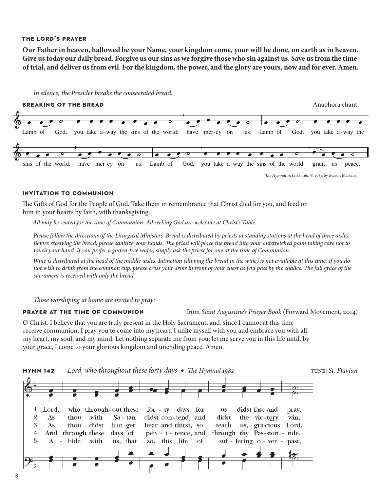#### **the lord's prayer**

**Our Father in heaven, hallowed be your Name, your kingdom come, your will be done, on earth as in heaven. Give us today our daily bread. Forgive us our sins as we forgive those who sin against us. Save us from the time of trial, and deliver us from evil. For the kingdom, the power, and the glory are yours, now and for ever. Amen.**

*In silence, the Presider breaks the consecrated bread.*



#### **invitation to communion**

The Gifts of God for the People of God. Take them in remembrance that Christ died for you, and feed on him in your hearts by faith, with thanksgiving.

*All may be seated for the time of Communion. All seeking God are welcome at Christ's Table.* 

*Please follow the directions of the Liturgical Ministers. Bread is distributed by priests at standing stations at the head of three aisles. Before receiving the bread, please sanitize your hands. The priest will place the bread into your outstretched palm taking care not to touch your hand. If you prefer a gluten-free wafer, simply ask the priest for one at the time of Communion.*

*Wine is distributed at the head of the middle aisles. Intinction (dipping the bread in the wine) is not available at this time. If you do not wish to drink from the common cup, please cross your arms in front of your chest as you pass by the chalice. The full grace of the sacrament is received with only the bread.*

*Those worshiping at home are invited to pray:*

**prayer at the time of communion** from *Saint Augustine's Prayer Book* (Forward Movement, 2014)

O Christ, I believe that you are truly present in the Holy Sacrament, and, since I cannot at this time receive communion, I pray you to come into my heart. I unite myself with you and embrace you with all my heart, my soul, and my mind. Let nothing separate me from you; let me serve you in this life until, by your grace, I come to your glorious kingdom and unending peace. Amen.

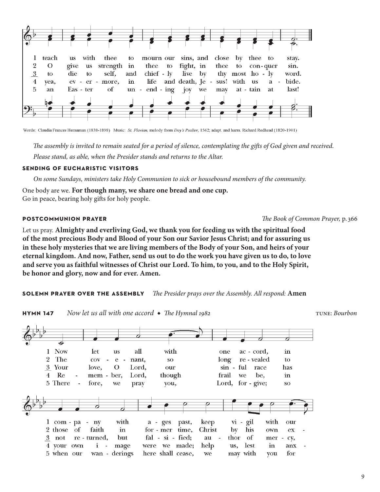

Words: Claudia Frances Hernaman (1838-1898) Music: St. Flavian, melody from Day's Psalter, 1562; adapt. and harm. Richard Redhead (1820-1901)

*The assembly is invited to remain seated for a period of silence, contemplating the gifts of God given and received. Please stand, as able, when the Presider stands and returns to the Altar.*

#### **sending of eucharistic visitors**

*On some Sundays, ministers take Holy Communion to sick or housebound members of the community.* 

One body are we. **For though many, we share one bread and one cup.** Go in peace, bearing holy gifts for holy people.

Let us pray. **Almighty and everliving God, we thank you for feeding us with the spiritual food of the most precious Body and Blood of your Son our Savior Jesus Christ; and for assuring us in these holy mysteries that we are living members of the Body of your Son, and heirs of your eternal kingdom. And now, Father, send us out to do the work you have given us to do, to love and serve you as faithful witnesses of Christ our Lord. To him, to you, and to the Holy Spirit, be honor and glory, now and for ever. Amen.**



**hymn 147** Now let us all with one accord ◆ The Hymnal 1982 tune: *Bourbon* 



#### **postcommunion prayer** *The Book of Common Prayer,* p. 366